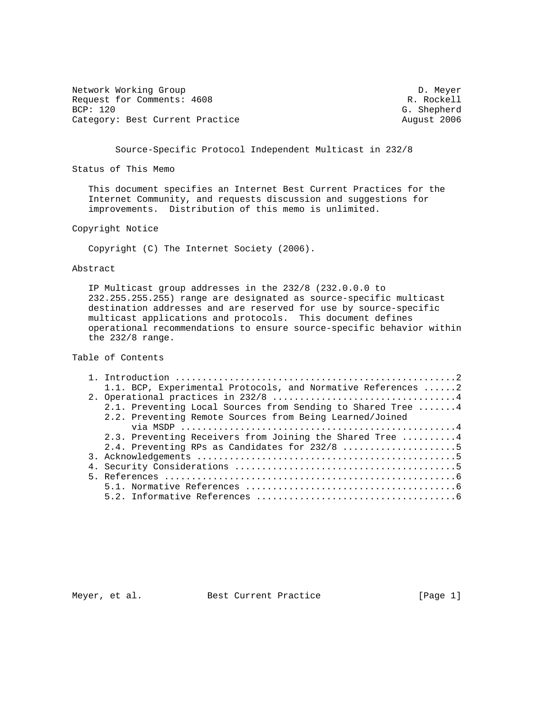Network Working Group Development of the United States of the D. Meyer Request for Comments: 4608 R. Rockell<br>BCP: 120 G. Shepherd Category: Best Current Practice August 2006

G. Shepherd

Source-Specific Protocol Independent Multicast in 232/8

Status of This Memo

 This document specifies an Internet Best Current Practices for the Internet Community, and requests discussion and suggestions for improvements. Distribution of this memo is unlimited.

Copyright Notice

Copyright (C) The Internet Society (2006).

## Abstract

 IP Multicast group addresses in the 232/8 (232.0.0.0 to 232.255.255.255) range are designated as source-specific multicast destination addresses and are reserved for use by source-specific multicast applications and protocols. This document defines operational recommendations to ensure source-specific behavior within the 232/8 range.

Table of Contents

|  | 1.1. BCP, Experimental Protocols, and Normative References 2 |
|--|--------------------------------------------------------------|
|  |                                                              |
|  | 2.1. Preventing Local Sources from Sending to Shared Tree 4  |
|  | 2.2. Preventing Remote Sources from Being Learned/Joined     |
|  |                                                              |
|  | 2.3. Preventing Receivers from Joining the Shared Tree 4     |
|  | 2.4. Preventing RPs as Candidates for 232/8 5                |
|  |                                                              |
|  |                                                              |
|  |                                                              |
|  |                                                              |
|  |                                                              |

Meyer, et al. Best Current Practice [Page 1]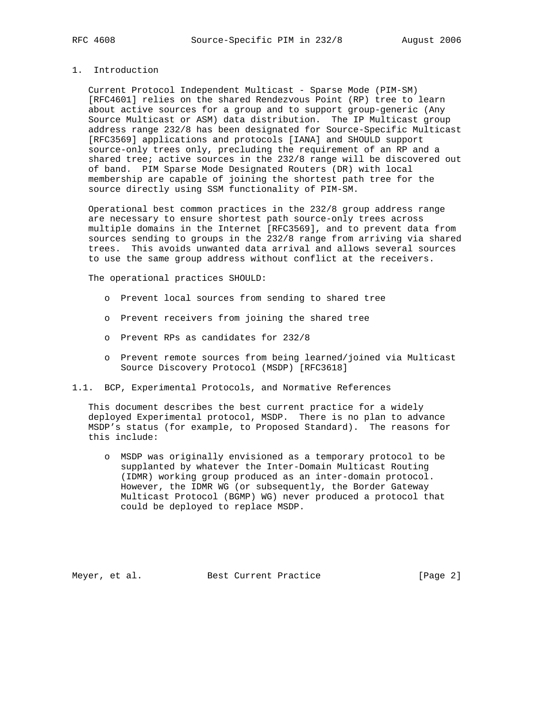## 1. Introduction

 Current Protocol Independent Multicast - Sparse Mode (PIM-SM) [RFC4601] relies on the shared Rendezvous Point (RP) tree to learn about active sources for a group and to support group-generic (Any Source Multicast or ASM) data distribution. The IP Multicast group address range 232/8 has been designated for Source-Specific Multicast [RFC3569] applications and protocols [IANA] and SHOULD support source-only trees only, precluding the requirement of an RP and a shared tree; active sources in the 232/8 range will be discovered out of band. PIM Sparse Mode Designated Routers (DR) with local membership are capable of joining the shortest path tree for the source directly using SSM functionality of PIM-SM.

 Operational best common practices in the 232/8 group address range are necessary to ensure shortest path source-only trees across multiple domains in the Internet [RFC3569], and to prevent data from sources sending to groups in the 232/8 range from arriving via shared trees. This avoids unwanted data arrival and allows several sources to use the same group address without conflict at the receivers.

The operational practices SHOULD:

- o Prevent local sources from sending to shared tree
- o Prevent receivers from joining the shared tree
- o Prevent RPs as candidates for 232/8
- o Prevent remote sources from being learned/joined via Multicast Source Discovery Protocol (MSDP) [RFC3618]
- 1.1. BCP, Experimental Protocols, and Normative References

 This document describes the best current practice for a widely deployed Experimental protocol, MSDP. There is no plan to advance MSDP's status (for example, to Proposed Standard). The reasons for this include:

 o MSDP was originally envisioned as a temporary protocol to be supplanted by whatever the Inter-Domain Multicast Routing (IDMR) working group produced as an inter-domain protocol. However, the IDMR WG (or subsequently, the Border Gateway Multicast Protocol (BGMP) WG) never produced a protocol that could be deployed to replace MSDP.

Meyer, et al. Best Current Practice [Page 2]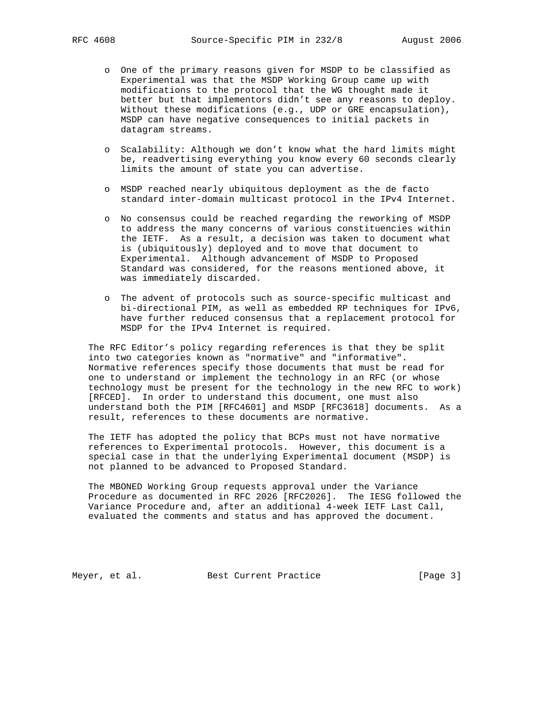- o One of the primary reasons given for MSDP to be classified as Experimental was that the MSDP Working Group came up with modifications to the protocol that the WG thought made it better but that implementors didn't see any reasons to deploy. Without these modifications (e.g., UDP or GRE encapsulation), MSDP can have negative consequences to initial packets in datagram streams.
- o Scalability: Although we don't know what the hard limits might be, readvertising everything you know every 60 seconds clearly limits the amount of state you can advertise.
- o MSDP reached nearly ubiquitous deployment as the de facto standard inter-domain multicast protocol in the IPv4 Internet.
- o No consensus could be reached regarding the reworking of MSDP to address the many concerns of various constituencies within the IETF. As a result, a decision was taken to document what is (ubiquitously) deployed and to move that document to Experimental. Although advancement of MSDP to Proposed Standard was considered, for the reasons mentioned above, it was immediately discarded.
- o The advent of protocols such as source-specific multicast and bi-directional PIM, as well as embedded RP techniques for IPv6, have further reduced consensus that a replacement protocol for MSDP for the IPv4 Internet is required.

 The RFC Editor's policy regarding references is that they be split into two categories known as "normative" and "informative". Normative references specify those documents that must be read for one to understand or implement the technology in an RFC (or whose technology must be present for the technology in the new RFC to work) [RFCED]. In order to understand this document, one must also understand both the PIM [RFC4601] and MSDP [RFC3618] documents. As a result, references to these documents are normative.

 The IETF has adopted the policy that BCPs must not have normative references to Experimental protocols. However, this document is a special case in that the underlying Experimental document (MSDP) is not planned to be advanced to Proposed Standard.

 The MBONED Working Group requests approval under the Variance Procedure as documented in RFC 2026 [RFC2026]. The IESG followed the Variance Procedure and, after an additional 4-week IETF Last Call, evaluated the comments and status and has approved the document.

Meyer, et al. Best Current Practice [Page 3]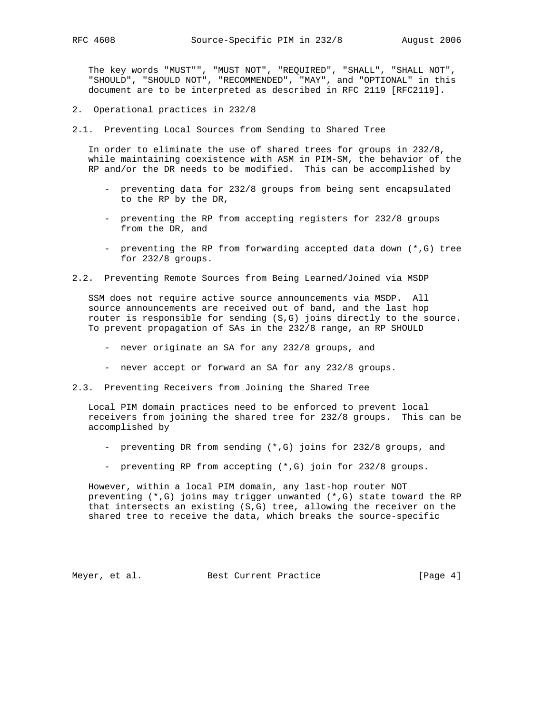The key words "MUST"", "MUST NOT", "REQUIRED", "SHALL", "SHALL NOT", "SHOULD", "SHOULD NOT", "RECOMMENDED", "MAY", and "OPTIONAL" in this document are to be interpreted as described in RFC 2119 [RFC2119].

- 2. Operational practices in 232/8
- 2.1. Preventing Local Sources from Sending to Shared Tree

 In order to eliminate the use of shared trees for groups in 232/8, while maintaining coexistence with ASM in PIM-SM, the behavior of the RP and/or the DR needs to be modified. This can be accomplished by

- preventing data for 232/8 groups from being sent encapsulated to the RP by the DR,
- preventing the RP from accepting registers for 232/8 groups from the DR, and
- preventing the RP from forwarding accepted data down (\*,G) tree for 232/8 groups.
- 2.2. Preventing Remote Sources from Being Learned/Joined via MSDP

 SSM does not require active source announcements via MSDP. All source announcements are received out of band, and the last hop router is responsible for sending (S,G) joins directly to the source. To prevent propagation of SAs in the 232/8 range, an RP SHOULD

- never originate an SA for any 232/8 groups, and
- never accept or forward an SA for any 232/8 groups.
- 2.3. Preventing Receivers from Joining the Shared Tree

 Local PIM domain practices need to be enforced to prevent local receivers from joining the shared tree for 232/8 groups. This can be accomplished by

- preventing DR from sending (\*,G) joins for 232/8 groups, and
- preventing RP from accepting (\*,G) join for 232/8 groups.

 However, within a local PIM domain, any last-hop router NOT preventing (\*,G) joins may trigger unwanted (\*,G) state toward the RP that intersects an existing (S,G) tree, allowing the receiver on the shared tree to receive the data, which breaks the source-specific

Meyer, et al. Best Current Practice [Page 4]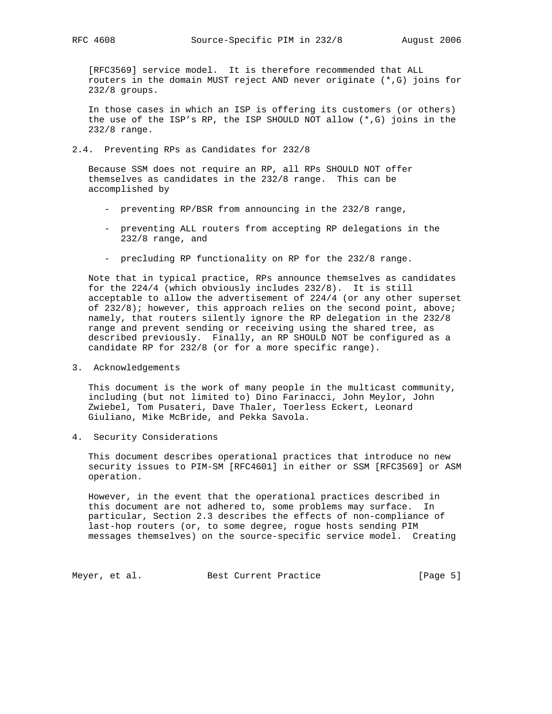[RFC3569] service model. It is therefore recommended that ALL routers in the domain MUST reject AND never originate (\*,G) joins for 232/8 groups.

 In those cases in which an ISP is offering its customers (or others) the use of the ISP's RP, the ISP SHOULD NOT allow (\*,G) joins in the 232/8 range.

2.4. Preventing RPs as Candidates for 232/8

 Because SSM does not require an RP, all RPs SHOULD NOT offer themselves as candidates in the 232/8 range. This can be accomplished by

- preventing RP/BSR from announcing in the 232/8 range,
- preventing ALL routers from accepting RP delegations in the 232/8 range, and
- precluding RP functionality on RP for the 232/8 range.

 Note that in typical practice, RPs announce themselves as candidates for the 224/4 (which obviously includes 232/8). It is still acceptable to allow the advertisement of 224/4 (or any other superset of 232/8); however, this approach relies on the second point, above; namely, that routers silently ignore the RP delegation in the 232/8 range and prevent sending or receiving using the shared tree, as described previously. Finally, an RP SHOULD NOT be configured as a candidate RP for 232/8 (or for a more specific range).

3. Acknowledgements

 This document is the work of many people in the multicast community, including (but not limited to) Dino Farinacci, John Meylor, John Zwiebel, Tom Pusateri, Dave Thaler, Toerless Eckert, Leonard Giuliano, Mike McBride, and Pekka Savola.

4. Security Considerations

 This document describes operational practices that introduce no new security issues to PIM-SM [RFC4601] in either or SSM [RFC3569] or ASM operation.

 However, in the event that the operational practices described in this document are not adhered to, some problems may surface. In particular, Section 2.3 describes the effects of non-compliance of last-hop routers (or, to some degree, rogue hosts sending PIM messages themselves) on the source-specific service model. Creating

Meyer, et al. Best Current Practice [Page 5]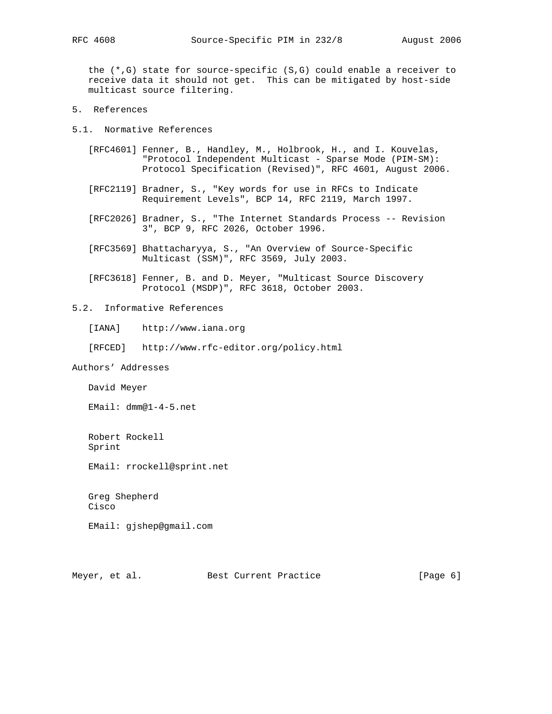the  $(*,G)$  state for source-specific  $(S,G)$  could enable a receiver to receive data it should not get. This can be mitigated by host-side multicast source filtering.

- 5. References
- 5.1. Normative References
	- [RFC4601] Fenner, B., Handley, M., Holbrook, H., and I. Kouvelas, "Protocol Independent Multicast - Sparse Mode (PIM-SM): Protocol Specification (Revised)", RFC 4601, August 2006.
	- [RFC2119] Bradner, S., "Key words for use in RFCs to Indicate Requirement Levels", BCP 14, RFC 2119, March 1997.
	- [RFC2026] Bradner, S., "The Internet Standards Process -- Revision 3", BCP 9, RFC 2026, October 1996.
	- [RFC3569] Bhattacharyya, S., "An Overview of Source-Specific Multicast (SSM)", RFC 3569, July 2003.
	- [RFC3618] Fenner, B. and D. Meyer, "Multicast Source Discovery Protocol (MSDP)", RFC 3618, October 2003.

## 5.2. Informative References

[IANA] http://www.iana.org

[RFCED] http://www.rfc-editor.org/policy.html

## Authors' Addresses

David Meyer

EMail: dmm@1-4-5.net

 Robert Rockell Sprint

EMail: rrockell@sprint.net

 Greg Shepherd Cisco

EMail: gjshep@gmail.com

Meyer, et al. Best Current Practice [Page 6]